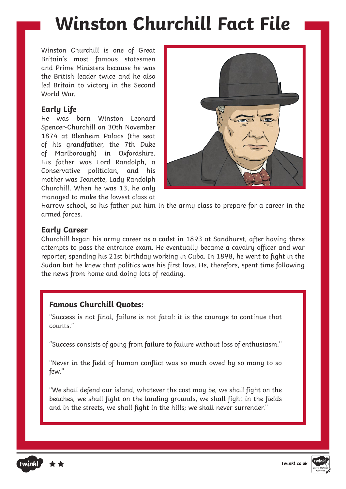# **Winston Churchill Fact File**

Winston Churchill is one of Great Britain's most famous statesmen and Prime Ministers because he was the British leader twice and he also led Britain to victory in the Second World War.

## **Early Life**

He was born Winston Leonard Spencer-Churchill on 30th November 1874 at Blenheim Palace (the seat of his grandfather, the 7th Duke of Marlborough) in Oxfordshire. His father was Lord Randolph, a Conservative politician, and his mother was Jeanette, Lady Randolph Churchill. When he was 13, he only managed to make the lowest class at



Harrow school, so his father put him in the army class to prepare for a career in the armed forces.

## **Early Career**

Churchill began his army career as a cadet in 1893 at Sandhurst, after having three attempts to pass the entrance exam. He eventually became a cavalry officer and war reporter, spending his 21st birthday working in Cuba. In 1898, he went to fight in the Sudan but he knew that politics was his first love. He, therefore, spent time following the news from home and doing lots of reading.

## **Famous Churchill Quotes:**

"Success is not final, failure is not fatal: it is the courage to continue that counts."

"Success consists of going from failure to failure without loss of enthusiasm."

"Never in the field of human conflict was so much owed by so many to so few."

"We shall defend our island, whatever the cost may be, we shall fight on the beaches, we shall fight on the landing grounds, we shall fight in the fields and in the streets, we shall fight in the hills; we shall never surrender."